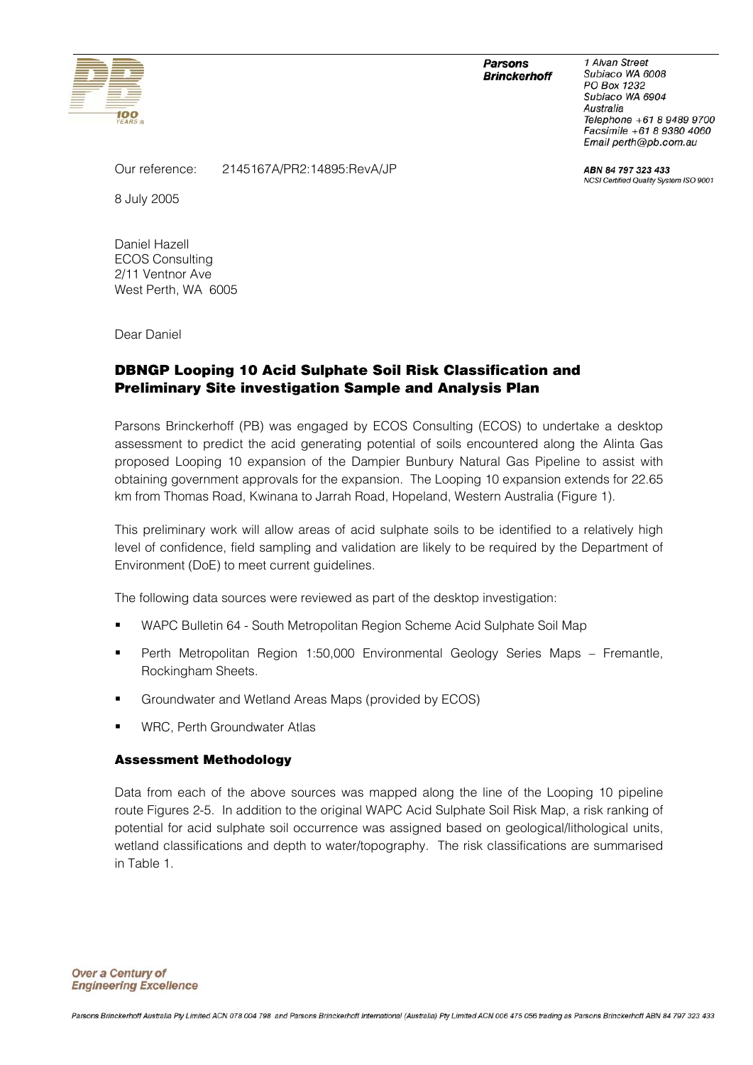

#### **Parsons Brinckerhoff**

1 Alvan Street Subiaco WA 6008 PO Box 1232 Subiaco WA 6904 Australia Telephone +61 8 9489 9700 Facsimile +61 8 9380 4060 Email perth@pb.com.au

ABN 84 797 323 433 NCSI Certified Quality System ISO 9001

Our reference: 2145167A/PR2:14895:RevA/JP

8 July 2005

Daniel Hazell ECOS Consulting 2/11 Ventnor Ave West Perth, WA 6005

Dear Daniel

## **DBNGP Looping 10 Acid Sulphate Soil Risk Classification and Preliminary Site investigation Sample and Analysis Plan**

Parsons Brinckerhoff (PB) was engaged by ECOS Consulting (ECOS) to undertake a desktop assessment to predict the acid generating potential of soils encountered along the Alinta Gas proposed Looping 10 expansion of the Dampier Bunbury Natural Gas Pipeline to assist with obtaining government approvals for the expansion. The Looping 10 expansion extends for 22.65 km from Thomas Road, Kwinana to Jarrah Road, Hopeland, Western Australia (Figure 1).

This preliminary work will allow areas of acid sulphate soils to be identified to a relatively high level of confidence, field sampling and validation are likely to be required by the Department of Environment (DoE) to meet current guidelines.

The following data sources were reviewed as part of the desktop investigation:

- WAPC Bulletin 64 South Metropolitan Region Scheme Acid Sulphate Soil Map
- Perth Metropolitan Region 1:50,000 Environmental Geology Series Maps Fremantle, Rockingham Sheets.
- Groundwater and Wetland Areas Maps (provided by ECOS)
- WRC, Perth Groundwater Atlas

### **Assessment Methodology**

Data from each of the above sources was mapped along the line of the Looping 10 pipeline route Figures 2-5. In addition to the original WAPC Acid Sulphate Soil Risk Map, a risk ranking of potential for acid sulphate soil occurrence was assigned based on geological/lithological units, wetland classifications and depth to water/topography. The risk classifications are summarised in Table 1.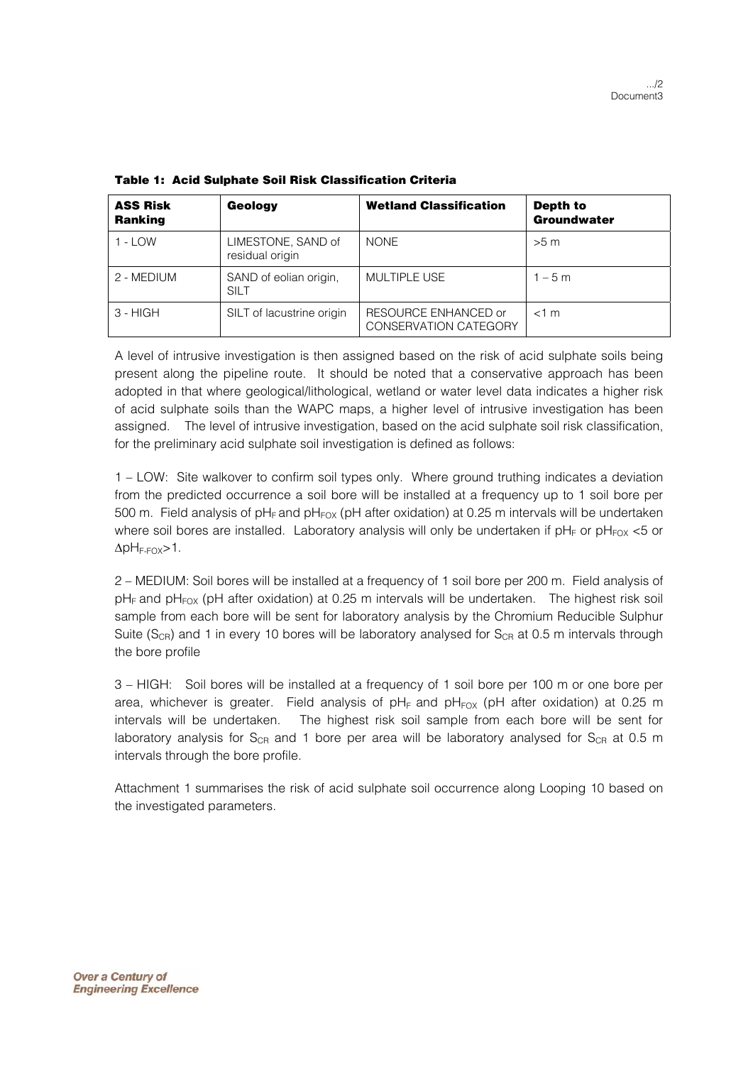| <b>ASS Risk</b><br><b>Ranking</b> | Geology                               | <b>Wetland Classification</b>                        | Depth to<br>Groundwater |
|-----------------------------------|---------------------------------------|------------------------------------------------------|-------------------------|
| $1 -$ LOW                         | LIMESTONE, SAND of<br>residual origin | <b>NONE</b>                                          | >5 m                    |
| 2 - MEDIUM                        | SAND of eolian origin.<br><b>SILT</b> | <b>MULTIPLE USE</b>                                  | $1 - 5m$                |
| $3 - HIGH$                        | SILT of lacustrine origin             | RESOURCE ENHANCED or<br><b>CONSERVATION CATEGORY</b> | $<$ 1 m                 |

**Table 1: Acid Sulphate Soil Risk Classification Criteria** 

A level of intrusive investigation is then assigned based on the risk of acid sulphate soils being present along the pipeline route. It should be noted that a conservative approach has been adopted in that where geological/lithological, wetland or water level data indicates a higher risk of acid sulphate soils than the WAPC maps, a higher level of intrusive investigation has been assigned. The level of intrusive investigation, based on the acid sulphate soil risk classification, for the preliminary acid sulphate soil investigation is defined as follows:

1 – LOW: Site walkover to confirm soil types only. Where ground truthing indicates a deviation from the predicted occurrence a soil bore will be installed at a frequency up to 1 soil bore per 500 m. Field analysis of pH<sub>F</sub> and pH<sub>FOX</sub> (pH after oxidation) at 0.25 m intervals will be undertaken where soil bores are installed. Laboratory analysis will only be undertaken if  $pH_F$  or  $pH_{FOX}$  <5 or  $\Delta$ pH<sub>F-FOX</sub>>1.

2 – MEDIUM: Soil bores will be installed at a frequency of 1 soil bore per 200 m. Field analysis of  $pH_F$  and  $pH_{FOX}$  (pH after oxidation) at 0.25 m intervals will be undertaken. The highest risk soil sample from each bore will be sent for laboratory analysis by the Chromium Reducible Sulphur Suite ( $S_{CR}$ ) and 1 in every 10 bores will be laboratory analysed for  $S_{CR}$  at 0.5 m intervals through the bore profile

3 – HIGH: Soil bores will be installed at a frequency of 1 soil bore per 100 m or one bore per area, whichever is greater. Field analysis of  $pH_F$  and  $pH_{FOX}$  (pH after oxidation) at 0.25 m intervals will be undertaken. The highest risk soil sample from each bore will be sent for laboratory analysis for  $S_{CR}$  and 1 bore per area will be laboratory analysed for  $S_{CR}$  at 0.5 m intervals through the bore profile.

Attachment 1 summarises the risk of acid sulphate soil occurrence along Looping 10 based on the investigated parameters.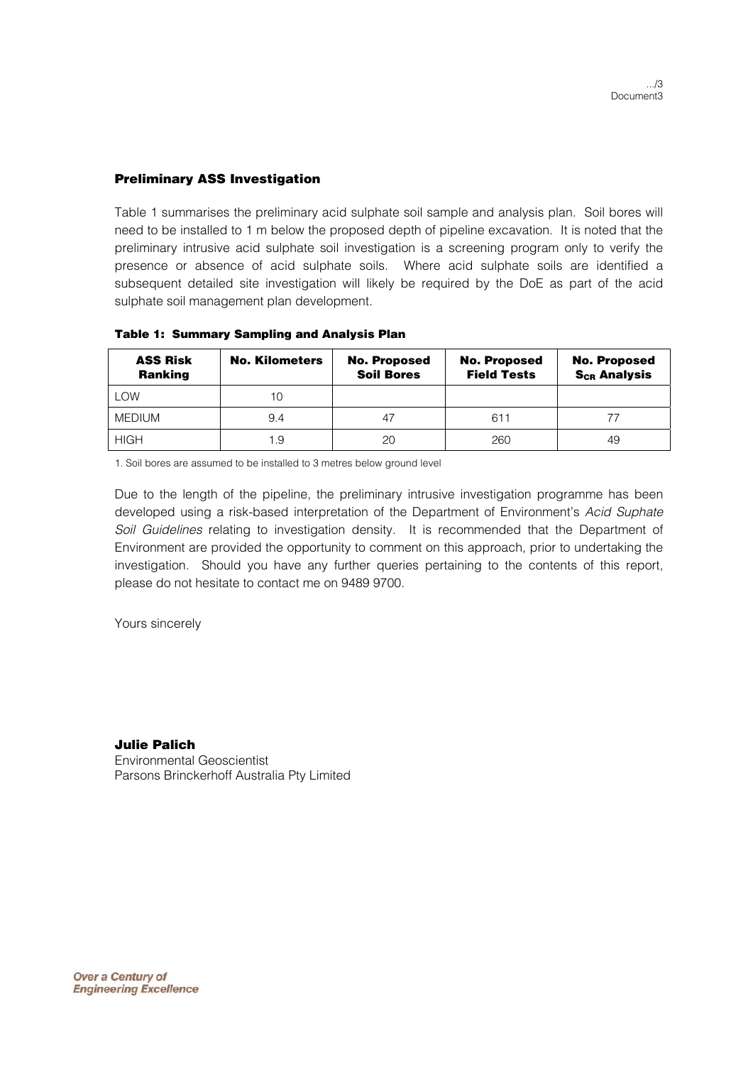### **Preliminary ASS Investigation**

Table 1 summarises the preliminary acid sulphate soil sample and analysis plan. Soil bores will need to be installed to 1 m below the proposed depth of pipeline excavation. It is noted that the preliminary intrusive acid sulphate soil investigation is a screening program only to verify the presence or absence of acid sulphate soils. Where acid sulphate soils are identified a subsequent detailed site investigation will likely be required by the DoE as part of the acid sulphate soil management plan development.

| <b>ASS Risk</b><br><b>Ranking</b> | <b>No. Kilometers</b> | <b>No. Proposed</b><br><b>Soil Bores</b> | <b>No. Proposed</b><br><b>Field Tests</b> | <b>No. Proposed</b><br><b>S<sub>CR</sub> Analysis</b> |
|-----------------------------------|-----------------------|------------------------------------------|-------------------------------------------|-------------------------------------------------------|
| <b>LOW</b>                        | 10                    |                                          |                                           |                                                       |
| <b>MEDIUM</b>                     | 9.4                   |                                          | 611                                       |                                                       |
| <b>HIGH</b>                       | 1.9                   | 20                                       | 260                                       | 49                                                    |

#### **Table 1: Summary Sampling and Analysis Plan**

1. Soil bores are assumed to be installed to 3 metres below ground level

Due to the length of the pipeline, the preliminary intrusive investigation programme has been developed using a risk-based interpretation of the Department of Environment's *Acid Suphate Soil Guidelines* relating to investigation density. It is recommended that the Department of Environment are provided the opportunity to comment on this approach, prior to undertaking the investigation. Should you have any further queries pertaining to the contents of this report, please do not hesitate to contact me on 9489 9700.

Yours sincerely

# **Julie Palich**

Environmental Geoscientist Parsons Brinckerhoff Australia Pty Limited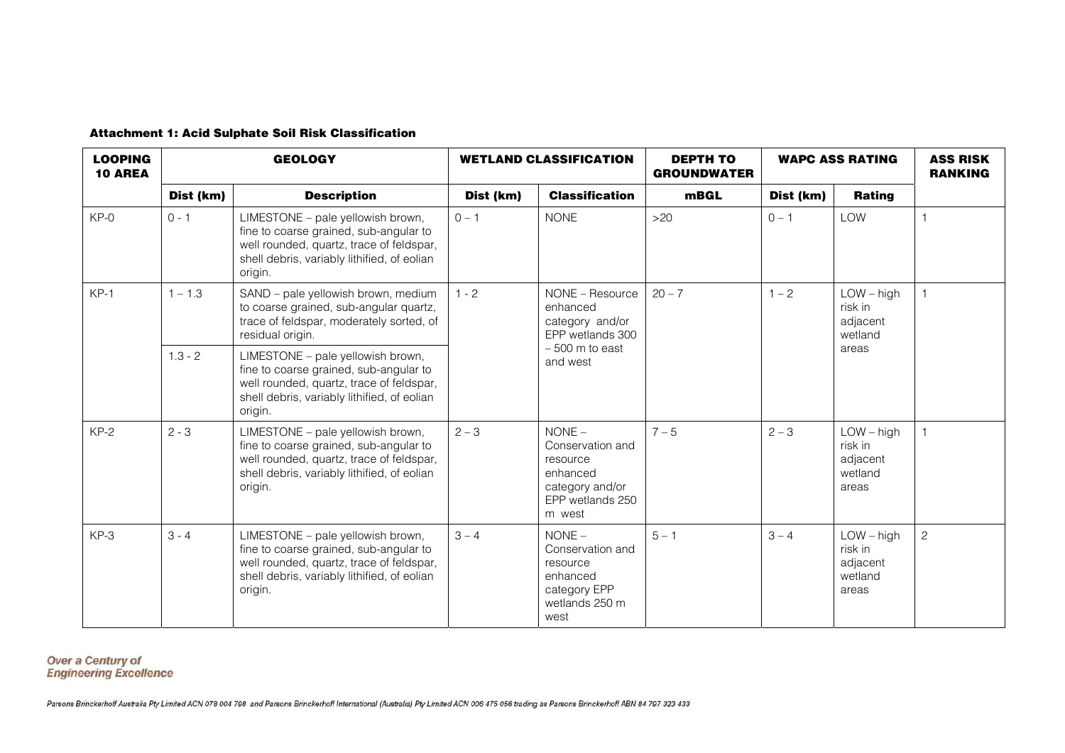|  |  |  |  |  |  | <b>Attachment 1: Acid Sulphate Soil Risk Classification</b> |
|--|--|--|--|--|--|-------------------------------------------------------------|
|--|--|--|--|--|--|-------------------------------------------------------------|

| <b>LOOPING</b><br><b>10 AREA</b> | <b>GEOLOGY</b> |                                                                                                                                                                                   | <b>WETLAND CLASSIFICATION</b> |                                                                                                       | <b>DEPTH TO</b><br><b>GROUNDWATER</b> | <b>WAPC ASS RATING</b> |                                                         | <b>ASS RISK</b><br><b>RANKING</b> |
|----------------------------------|----------------|-----------------------------------------------------------------------------------------------------------------------------------------------------------------------------------|-------------------------------|-------------------------------------------------------------------------------------------------------|---------------------------------------|------------------------|---------------------------------------------------------|-----------------------------------|
|                                  | Dist (km)      | <b>Description</b>                                                                                                                                                                | Dist (km)                     | <b>Classification</b>                                                                                 | mBGL                                  | Dist (km)              | Rating                                                  |                                   |
| $KP-0$                           | $0 - 1$        | LIMESTONE - pale yellowish brown,<br>fine to coarse grained, sub-angular to<br>well rounded, quartz, trace of feldspar,<br>shell debris, variably lithified, of eolian<br>origin. | $0 - 1$                       | <b>NONE</b>                                                                                           | >20                                   | $0 - 1$                | <b>LOW</b>                                              |                                   |
| $KP-1$                           | $1 - 1.3$      | SAND - pale yellowish brown, medium<br>to coarse grained, sub-angular quartz,<br>trace of feldspar, moderately sorted, of<br>residual origin.                                     | $1 - 2$<br>enhanced           | NONE - Resource<br>category and/or<br>EPP wetlands 300                                                | $20 - 7$                              | $1 - 2$                | $LOW - high$<br>risk in<br>adjacent<br>wetland<br>areas |                                   |
|                                  | $1.3 - 2$      | LIMESTONE - pale yellowish brown,<br>fine to coarse grained, sub-angular to<br>well rounded, quartz, trace of feldspar,<br>shell debris, variably lithified, of eolian<br>origin. |                               | $-500$ m to east<br>and west                                                                          |                                       |                        |                                                         |                                   |
| $KP-2$                           | $2 - 3$        | LIMESTONE - pale yellowish brown,<br>fine to coarse grained, sub-angular to<br>well rounded, quartz, trace of feldspar,<br>shell debris, variably lithified, of eolian<br>origin. | $2 - 3$                       | $NONE -$<br>Conservation and<br>resource<br>enhanced<br>category and/or<br>EPP wetlands 250<br>m west | $7 - 5$                               | $2 - 3$                | $LOW - high$<br>risk in<br>adjacent<br>wetland<br>areas |                                   |
| $KP-3$                           | $3 - 4$        | LIMESTONE - pale yellowish brown,<br>fine to coarse grained, sub-angular to<br>well rounded, quartz, trace of feldspar,<br>shell debris, variably lithified, of eolian<br>origin. | $3 - 4$                       | $NONE -$<br>Conservation and<br>resource<br>enhanced<br>category EPP<br>wetlands 250 m<br>west        | $5 - 1$                               | $3 - 4$                | $LOW - high$<br>risk in<br>adjacent<br>wetland<br>areas | $\overline{c}$                    |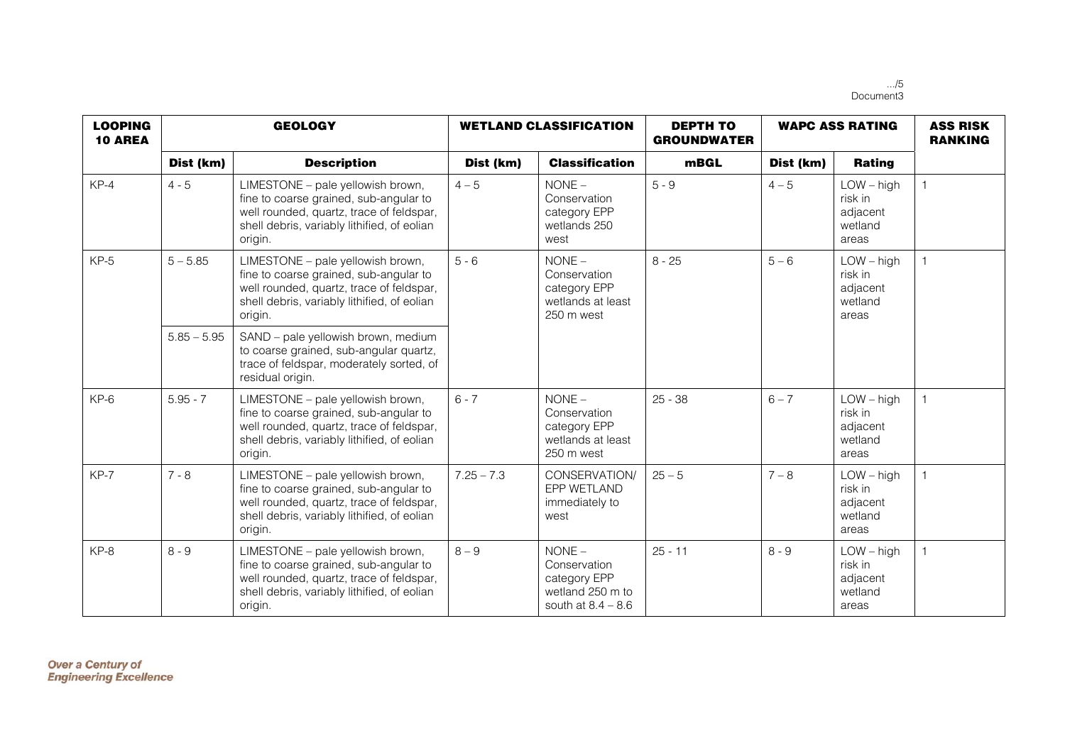.../5 Document3

| <b>LOOPING</b><br><b>10 AREA</b> | <b>GEOLOGY</b> |                                                                                                                                                                                   | <b>WETLAND CLASSIFICATION</b> |                                                                                      | <b>DEPTH TO</b><br><b>GROUNDWATER</b> | <b>WAPC ASS RATING</b> |                                                         | <b>ASS RISK</b><br><b>RANKING</b> |
|----------------------------------|----------------|-----------------------------------------------------------------------------------------------------------------------------------------------------------------------------------|-------------------------------|--------------------------------------------------------------------------------------|---------------------------------------|------------------------|---------------------------------------------------------|-----------------------------------|
|                                  | Dist (km)      | <b>Description</b>                                                                                                                                                                | Dist (km)                     | <b>Classification</b>                                                                | mBGL                                  | Dist (km)              | Rating                                                  |                                   |
| $KP-4$                           | $4 - 5$        | LIMESTONE - pale yellowish brown,<br>fine to coarse grained, sub-angular to<br>well rounded, quartz, trace of feldspar,<br>shell debris, variably lithified, of eolian<br>origin. | $4 - 5$                       | $NONE -$<br>Conservation<br>category EPP<br>wetlands 250<br>west                     | $5 - 9$                               | $4 - 5$                | $LOW - high$<br>risk in<br>adjacent<br>wetland<br>areas | $\overline{1}$                    |
| $KP-5$                           | $5 - 5.85$     | LIMESTONE - pale yellowish brown,<br>fine to coarse grained, sub-angular to<br>well rounded, quartz, trace of feldspar,<br>shell debris, variably lithified, of eolian<br>origin. | $5 - 6$                       | $NONE -$<br>Conservation<br>category EPP<br>wetlands at least<br>250 m west          | $8 - 25$                              | $5 - 6$                | $LOW - high$<br>risk in<br>adjacent<br>wetland<br>areas |                                   |
|                                  | $5.85 - 5.95$  | SAND - pale yellowish brown, medium<br>to coarse grained, sub-angular quartz,<br>trace of feldspar, moderately sorted, of<br>residual origin.                                     |                               |                                                                                      |                                       |                        |                                                         |                                   |
| $KP-6$                           | $5.95 - 7$     | LIMESTONE - pale yellowish brown,<br>fine to coarse grained, sub-angular to<br>well rounded, quartz, trace of feldspar,<br>shell debris, variably lithified, of eolian<br>origin. | $6 - 7$                       | $NONE -$<br>Conservation<br>category EPP<br>wetlands at least<br>250 m west          | $25 - 38$                             | $6 - 7$                | $LOW - high$<br>risk in<br>adjacent<br>wetland<br>areas | $\overline{1}$                    |
| $KP-7$                           | $7 - 8$        | LIMESTONE - pale yellowish brown,<br>fine to coarse grained, sub-angular to<br>well rounded, quartz, trace of feldspar,<br>shell debris, variably lithified, of eolian<br>origin. | $7.25 - 7.3$                  | CONSERVATION/<br>EPP WETLAND<br>immediately to<br>west                               | $25 - 5$                              | $7 - 8$                | $LOW - high$<br>risk in<br>adjacent<br>wetland<br>areas | $\overline{1}$                    |
| KP-8                             | $8 - 9$        | LIMESTONE - pale yellowish brown,<br>fine to coarse grained, sub-angular to<br>well rounded, quartz, trace of feldspar,<br>shell debris, variably lithified, of eolian<br>origin. | $8 - 9$                       | $NONE -$<br>Conservation<br>category EPP<br>wetland 250 m to<br>south at $8.4 - 8.6$ | $25 - 11$                             | $8 - 9$                | $LOW - high$<br>risk in<br>adjacent<br>wetland<br>areas | $\overline{1}$                    |

**Over a Century of<br>Engineering Excellence**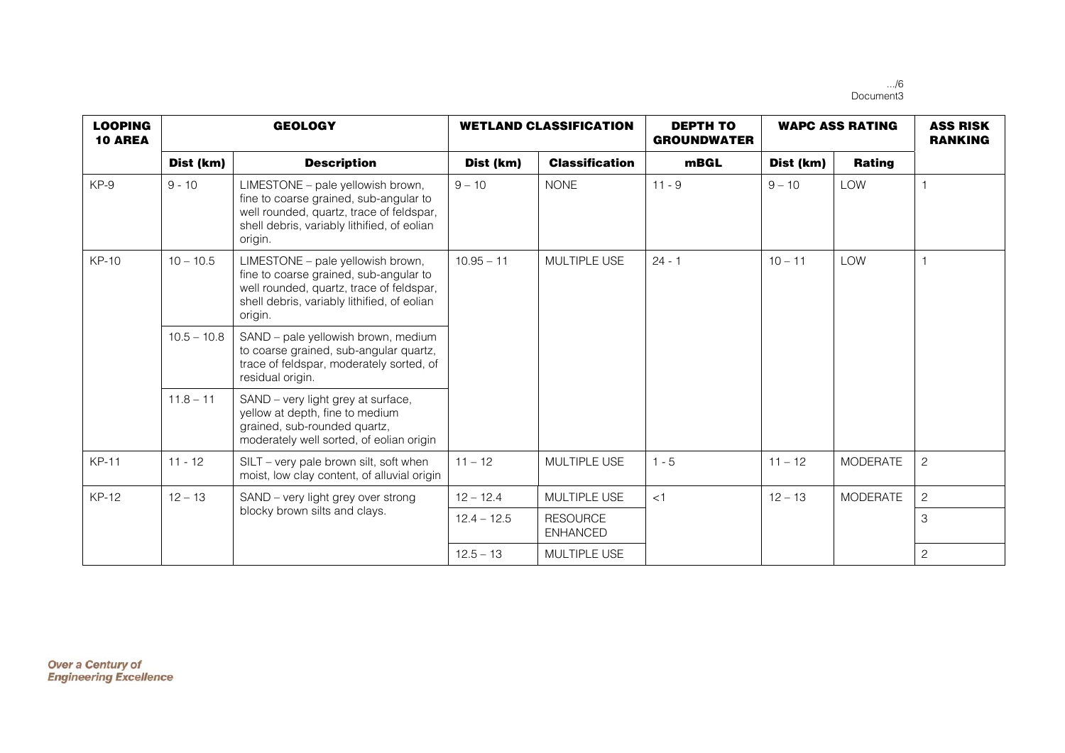.../6 Document3

| <b>LOOPING</b><br><b>10 AREA</b> | <b>GEOLOGY</b> |                                                                                                                                                                                   | <b>WETLAND CLASSIFICATION</b> |                                    | <b>DEPTH TO</b><br><b>GROUNDWATER</b> | <b>WAPC ASS RATING</b> |                 | <b>ASS RISK</b><br><b>RANKING</b> |
|----------------------------------|----------------|-----------------------------------------------------------------------------------------------------------------------------------------------------------------------------------|-------------------------------|------------------------------------|---------------------------------------|------------------------|-----------------|-----------------------------------|
|                                  | Dist (km)      | <b>Description</b>                                                                                                                                                                | Dist (km)                     | <b>Classification</b>              | <b>mBGL</b>                           | Dist (km)              | <b>Rating</b>   |                                   |
| KP-9                             | $9 - 10$       | LIMESTONE - pale yellowish brown,<br>fine to coarse grained, sub-angular to<br>well rounded, quartz, trace of feldspar,<br>shell debris, variably lithified, of eolian<br>origin. | $9 - 10$                      | <b>NONE</b>                        | $11 - 9$                              | $9 - 10$               | LOW             | $\overline{1}$                    |
| $KP-10$                          | $10 - 10.5$    | LIMESTONE - pale yellowish brown,<br>fine to coarse grained, sub-angular to<br>well rounded, quartz, trace of feldspar,<br>shell debris, variably lithified, of eolian<br>origin. | $10.95 - 11$<br>MULTIPLE USE  | $24 - 1$                           | $10 - 11$                             | <b>LOW</b>             | $\overline{1}$  |                                   |
|                                  | $10.5 - 10.8$  | SAND - pale yellowish brown, medium<br>to coarse grained, sub-angular quartz,<br>trace of feldspar, moderately sorted, of<br>residual origin.                                     |                               |                                    |                                       |                        |                 |                                   |
|                                  | $11.8 - 11$    | SAND - very light grey at surface,<br>yellow at depth, fine to medium<br>grained, sub-rounded quartz,<br>moderately well sorted, of eolian origin                                 |                               |                                    |                                       |                        |                 |                                   |
| <b>KP-11</b>                     | $11 - 12$      | SILT – very pale brown silt, soft when<br>moist, low clay content, of alluvial origin                                                                                             | $11 - 12$                     | MULTIPLE USE                       | $1 - 5$                               | $11 - 12$              | <b>MODERATE</b> | $\overline{c}$                    |
| <b>KP-12</b>                     | $12 - 13$      | SAND - very light grey over strong                                                                                                                                                | $12 - 12.4$                   | MULTIPLE USE                       | < 1                                   | $12 - 13$              | <b>MODERATE</b> | $\overline{c}$                    |
|                                  |                | blocky brown silts and clays.                                                                                                                                                     | $12.4 - 12.5$                 | <b>RESOURCE</b><br><b>ENHANCED</b> |                                       |                        |                 | 3                                 |
|                                  |                |                                                                                                                                                                                   | $12.5 - 13$                   | MULTIPLE USE                       |                                       |                        |                 | $\overline{c}$                    |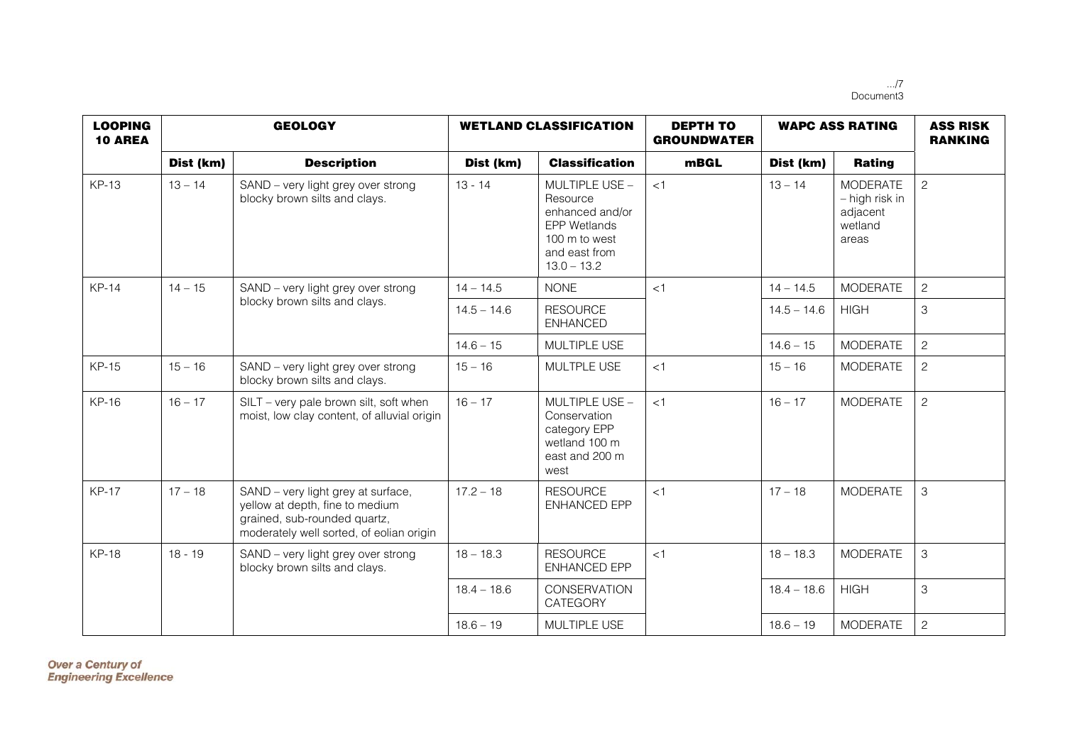.../7 Document3

| <b>LOOPING</b><br><b>10 AREA</b> | <b>GEOLOGY</b> |                                                                                                                                                   | <b>WETLAND CLASSIFICATION</b> |                                                                                                                         | <b>DEPTH TO</b><br><b>GROUNDWATER</b> | <b>WAPC ASS RATING</b> |                                                                   | <b>ASS RISK</b><br><b>RANKING</b> |
|----------------------------------|----------------|---------------------------------------------------------------------------------------------------------------------------------------------------|-------------------------------|-------------------------------------------------------------------------------------------------------------------------|---------------------------------------|------------------------|-------------------------------------------------------------------|-----------------------------------|
|                                  | Dist (km)      | <b>Description</b>                                                                                                                                | Dist (km)                     | <b>Classification</b>                                                                                                   | <b>mBGL</b>                           | Dist (km)              | <b>Rating</b>                                                     |                                   |
| <b>KP-13</b>                     | $13 - 14$      | SAND - very light grey over strong<br>blocky brown silts and clays.                                                                               | $13 - 14$                     | MULTIPLE USE -<br>Resource<br>enhanced and/or<br><b>EPP Wetlands</b><br>100 m to west<br>and east from<br>$13.0 - 13.2$ | <1                                    | $13 - 14$              | <b>MODERATE</b><br>- high risk in<br>adjacent<br>wetland<br>areas | $\overline{c}$                    |
| <b>KP-14</b>                     | $14 - 15$      | SAND - very light grey over strong                                                                                                                | $14 - 14.5$                   | <b>NONE</b>                                                                                                             | < 1                                   | $14 - 14.5$            | <b>MODERATE</b>                                                   | $\overline{c}$                    |
|                                  |                | blocky brown silts and clays.                                                                                                                     | $14.5 - 14.6$                 | <b>RESOURCE</b><br><b>ENHANCED</b>                                                                                      |                                       | $14.5 - 14.6$          | <b>HIGH</b>                                                       | $\mathfrak{S}$                    |
|                                  |                |                                                                                                                                                   | $14.6 - 15$                   | MULTIPLE USE                                                                                                            |                                       | $14.6 - 15$            | <b>MODERATE</b>                                                   | $\overline{c}$                    |
| <b>KP-15</b>                     | $15 - 16$      | SAND - very light grey over strong<br>blocky brown silts and clays.                                                                               | $15 - 16$                     | MULTPLE USE                                                                                                             | <1                                    | $15 - 16$              | <b>MODERATE</b>                                                   | $\overline{c}$                    |
| <b>KP-16</b>                     | $16 - 17$      | SILT - very pale brown silt, soft when<br>moist, low clay content, of alluvial origin                                                             | $16 - 17$                     | MULTIPLE USE -<br>Conservation<br>category EPP<br>wetland 100 m<br>east and 200 m<br>west                               | $\leq$ 1                              | $16 - 17$              | <b>MODERATE</b>                                                   | $\overline{c}$                    |
| <b>KP-17</b>                     | $17 - 18$      | SAND - very light grey at surface,<br>yellow at depth, fine to medium<br>grained, sub-rounded quartz,<br>moderately well sorted, of eolian origin | $17.2 - 18$                   | <b>RESOURCE</b><br><b>ENHANCED EPP</b>                                                                                  | $\leq 1$                              | $17 - 18$              | <b>MODERATE</b>                                                   | $\mathfrak{B}$                    |
| <b>KP-18</b>                     | $18 - 19$      | SAND - very light grey over strong<br>blocky brown silts and clays.                                                                               | $18 - 18.3$                   | <b>RESOURCE</b><br>ENHANCED EPP                                                                                         | $\leq$ 1                              | $18 - 18.3$            | <b>MODERATE</b>                                                   | $\mathfrak{S}$                    |
|                                  |                |                                                                                                                                                   | $18.4 - 18.6$                 | CONSERVATION<br>CATEGORY                                                                                                |                                       | $18.4 - 18.6$          | <b>HIGH</b>                                                       | $\mathfrak{S}$                    |
|                                  |                |                                                                                                                                                   | $18.6 - 19$                   | MULTIPLE USE                                                                                                            |                                       | $18.6 - 19$            | <b>MODERATE</b>                                                   | $\overline{c}$                    |